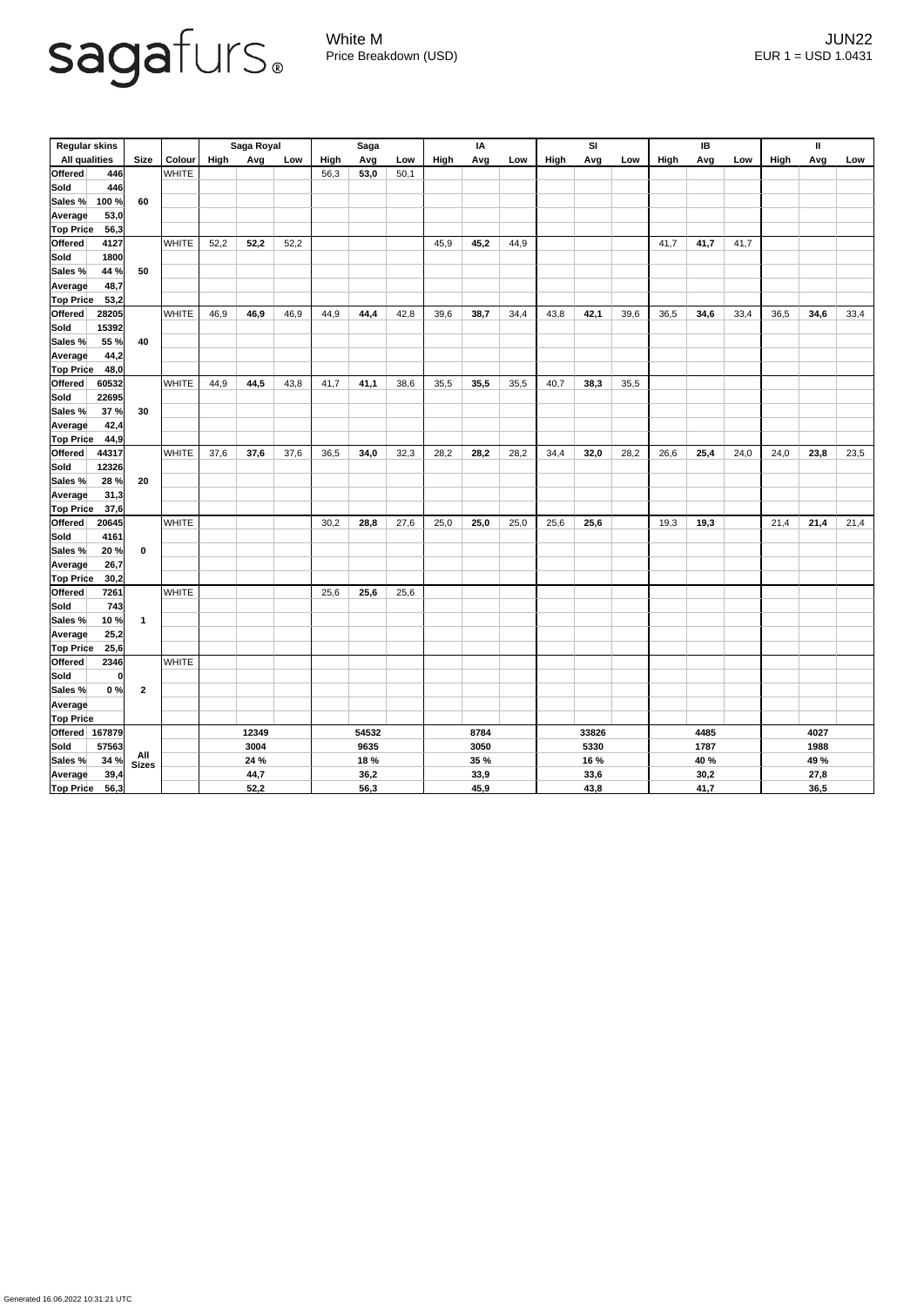

White M JUN22 Price Breakdown (USD) EUR 1 = USD 1.0431

| <b>Regular skins</b>     |                         |               | Saga Royal  |      |       | <b>Saga</b> |      |      | ΙA   |             |       | SI          |      |      | IB   |      |      | $\mathbf{I}$ |      |      |  |  |
|--------------------------|-------------------------|---------------|-------------|------|-------|-------------|------|------|------|-------------|-------|-------------|------|------|------|------|------|--------------|------|------|--|--|
| <b>All qualities</b>     | <b>Size</b>             | <b>Colour</b> | <b>High</b> | Avg  | Low   | High        | Avg  | Low  | High | Avg         | Low   | <b>High</b> | Avg  | Low  | High | Avg  | Low  | <b>High</b>  | Avg  | Low  |  |  |
| 446<br><b>Offered</b>    |                         | <b>WHITE</b>  |             |      |       | 56,3        | 53,0 | 50,1 |      |             |       |             |      |      |      |      |      |              |      |      |  |  |
| Sold<br>446              |                         |               |             |      |       |             |      |      |      |             |       |             |      |      |      |      |      |              |      |      |  |  |
| 100 %<br>Sales %         | 60                      |               |             |      |       |             |      |      |      |             |       |             |      |      |      |      |      |              |      |      |  |  |
| 53,0<br>Average          |                         |               |             |      |       |             |      |      |      |             |       |             |      |      |      |      |      |              |      |      |  |  |
| <b>Top Price</b><br>56,3 |                         |               |             |      |       |             |      |      |      |             |       |             |      |      |      |      |      |              |      |      |  |  |
| <b>Offered</b><br>4127   |                         | <b>WHITE</b>  | 52,2        | 52,2 | 52,2  |             |      |      | 45,9 | 45,2        | 44,9  |             |      |      | 41,7 | 41,7 | 41,7 |              |      |      |  |  |
| Sold<br>1800             |                         |               |             |      |       |             |      |      |      |             |       |             |      |      |      |      |      |              |      |      |  |  |
| 44 %<br>Sales %          | 50                      |               |             |      |       |             |      |      |      |             |       |             |      |      |      |      |      |              |      |      |  |  |
| 48,7<br><b>Average</b>   |                         |               |             |      |       |             |      |      |      |             |       |             |      |      |      |      |      |              |      |      |  |  |
| <b>Top Price</b><br>53,2 |                         |               |             |      |       |             |      |      |      |             |       |             |      |      |      |      |      |              |      |      |  |  |
| <b>Offered</b><br>28205  |                         | <b>WHITE</b>  | 46,9        | 46,9 | 46,9  | 44,9        | 44,4 | 42,8 | 39,6 | 38,7        | 34,4  | 43,8        | 42,1 | 39,6 | 36,5 | 34,6 | 33,4 | 36,5         | 34,6 | 33,4 |  |  |
| <b>Sold</b><br>15392     |                         |               |             |      |       |             |      |      |      |             |       |             |      |      |      |      |      |              |      |      |  |  |
| 55 %<br>Sales %          | 40                      |               |             |      |       |             |      |      |      |             |       |             |      |      |      |      |      |              |      |      |  |  |
| 44,2<br>Average          |                         |               |             |      |       |             |      |      |      |             |       |             |      |      |      |      |      |              |      |      |  |  |
| <b>Top Price</b><br>48,0 |                         |               |             |      |       |             |      |      |      |             |       |             |      |      |      |      |      |              |      |      |  |  |
| Offered<br>60532         |                         | <b>WHITE</b>  | 44,9        | 44,5 | 43,8  | 41,7        | 41,1 | 38,6 | 35,5 | 35,5        | 35,5  | 40,7        | 38,3 | 35,5 |      |      |      |              |      |      |  |  |
| <b>Sold</b><br>22695     |                         |               |             |      |       |             |      |      |      |             |       |             |      |      |      |      |      |              |      |      |  |  |
| 37 %<br><b>Sales %</b>   | 30                      |               |             |      |       |             |      |      |      |             |       |             |      |      |      |      |      |              |      |      |  |  |
| 42,4<br><b>Average</b>   |                         |               |             |      |       |             |      |      |      |             |       |             |      |      |      |      |      |              |      |      |  |  |
| <b>Top Price</b><br>44,9 |                         |               |             |      |       |             |      |      |      |             |       |             |      |      |      |      |      |              |      |      |  |  |
| Offered<br>44317         |                         | <b>WHITE</b>  | 37,6        | 37,6 | 37,6  | 36,5        | 34,0 | 32,3 | 28,2 | 28,2        | 28,2  | 34,4        | 32,0 | 28,2 | 26,6 | 25,4 | 24,0 | 24,0         | 23,8 | 23,5 |  |  |
| Sold<br>12326            |                         |               |             |      |       |             |      |      |      |             |       |             |      |      |      |      |      |              |      |      |  |  |
| $28 \%$<br>Sales %       | 20                      |               |             |      |       |             |      |      |      |             |       |             |      |      |      |      |      |              |      |      |  |  |
| 31,3<br>Average          |                         |               |             |      |       |             |      |      |      |             |       |             |      |      |      |      |      |              |      |      |  |  |
| <b>Top Price</b><br>37,6 |                         |               |             |      |       |             |      |      |      |             |       |             |      |      |      |      |      |              |      |      |  |  |
| <b>Offered</b><br>20645  |                         | <b>WHITE</b>  |             |      |       | 30,2        | 28,8 | 27,6 | 25,0 | 25,0        | 25,0  | 25,6        | 25,6 |      | 19,3 | 19,3 |      | 21,4         | 21,4 | 21,4 |  |  |
| Sold<br>4161             |                         |               |             |      |       |             |      |      |      |             |       |             |      |      |      |      |      |              |      |      |  |  |
| Sales %<br>20%           | $\mathbf 0$             |               |             |      |       |             |      |      |      |             |       |             |      |      |      |      |      |              |      |      |  |  |
| 26,7<br><b>Average</b>   |                         |               |             |      |       |             |      |      |      |             |       |             |      |      |      |      |      |              |      |      |  |  |
| <b>Top Price</b><br>30,2 |                         |               |             |      |       |             |      |      |      |             |       |             |      |      |      |      |      |              |      |      |  |  |
| Offered<br>7261          |                         | <b>WHITE</b>  |             |      |       | 25,6        | 25,6 | 25,6 |      |             |       |             |      |      |      |      |      |              |      |      |  |  |
| Sold <br>743             |                         |               |             |      |       |             |      |      |      |             |       |             |      |      |      |      |      |              |      |      |  |  |
| Sales %<br>10%           | $\overline{\mathbf{1}}$ |               |             |      |       |             |      |      |      |             |       |             |      |      |      |      |      |              |      |      |  |  |
| 25,2<br><b>Average</b>   |                         |               |             |      |       |             |      |      |      |             |       |             |      |      |      |      |      |              |      |      |  |  |
| <b>Top Price</b><br>25,6 |                         |               |             |      |       |             |      |      |      |             |       |             |      |      |      |      |      |              |      |      |  |  |
| Offered<br>2346          |                         | <b>WHITE</b>  |             |      |       |             |      |      |      |             |       |             |      |      |      |      |      |              |      |      |  |  |
| Sold<br> 0               |                         |               |             |      |       |             |      |      |      |             |       |             |      |      |      |      |      |              |      |      |  |  |
| Sales %<br>0%            | $\boldsymbol{2}$        |               |             |      |       |             |      |      |      |             |       |             |      |      |      |      |      |              |      |      |  |  |
| Average                  |                         |               |             |      |       |             |      |      |      |             |       |             |      |      |      |      |      |              |      |      |  |  |
| <b>Top Price</b>         |                         |               |             |      |       |             |      |      |      |             |       |             |      |      |      |      |      |              |      |      |  |  |
| Offered 167879           |                         |               | 12349       |      | 54532 |             |      | 8784 |      |             | 33826 |             | 4485 |      |      | 4027 |      |              |      |      |  |  |
| <b>Sold</b><br>57563     |                         |               | 3004        |      |       |             | 9635 |      |      | 3050        |       |             |      | 5330 |      |      | 1787 |              |      | 1988 |  |  |
| 34%<br>Sales %           | All<br>Sizes            |               |             | 24 % |       |             | 18 % |      |      | <b>35 %</b> |       |             | 16 % |      |      | 40 % |      |              | 49 % |      |  |  |
| 39,4<br>Average          |                         |               |             | 44,7 |       | 36,2        |      |      |      | 33,9        |       |             | 33,6 |      |      | 30,2 |      |              | 27,8 |      |  |  |
| <b>Top Price</b><br>56,3 |                         |               | 52,2        |      |       | 56,3        |      |      | 45,9 |             |       | 43,8        |      |      | 41,7 |      |      | 36,5         |      |      |  |  |